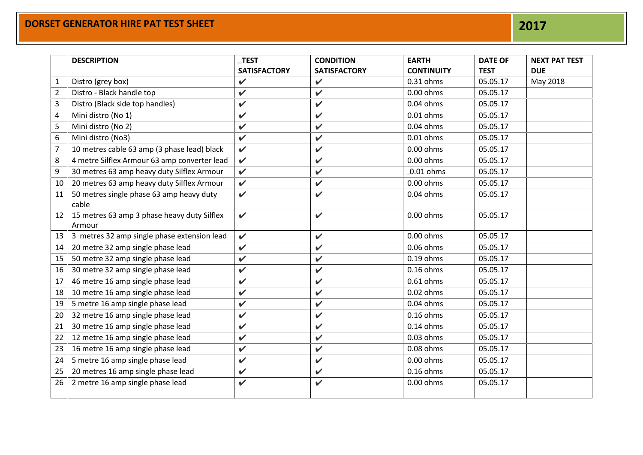|                | <b>DESCRIPTION</b>                           | <b>TEST</b>         | <b>CONDITION</b>    | <b>EARTH</b>      | <b>DATE OF</b> | <b>NEXT PAT TEST</b> |
|----------------|----------------------------------------------|---------------------|---------------------|-------------------|----------------|----------------------|
|                |                                              | <b>SATISFACTORY</b> | <b>SATISFACTORY</b> | <b>CONTINUITY</b> | <b>TEST</b>    | <b>DUE</b>           |
| 1              | Distro (grey box)                            | $\checkmark$        | $\checkmark$        | 0.31 ohms         | 05.05.17       | May 2018             |
| $\overline{2}$ | Distro - Black handle top                    | $\checkmark$        | $\checkmark$        | $0.00$ ohms       | 05.05.17       |                      |
| 3              | Distro (Black side top handles)              | $\checkmark$        | $\checkmark$        | $0.04$ ohms       | 05.05.17       |                      |
| 4              | Mini distro (No 1)                           | V                   | $\checkmark$        | $0.01$ ohms       | 05.05.17       |                      |
| 5              | Mini distro (No 2)                           | $\checkmark$        | $\checkmark$        | 0.04 ohms         | 05.05.17       |                      |
| 6              | Mini distro (No3)                            | $\checkmark$        | $\checkmark$        | $0.01$ ohms       | 05.05.17       |                      |
| $\overline{7}$ | 10 metres cable 63 amp (3 phase lead) black  | $\checkmark$        | $\checkmark$        | 0.00 ohms         | 05.05.17       |                      |
| 8              | 4 metre Silflex Armour 63 amp converter lead | $\checkmark$        | $\checkmark$        | 0.00 ohms         | 05.05.17       |                      |
| 9              | 30 metres 63 amp heavy duty Silflex Armour   | $\checkmark$        | $\checkmark$        | .0.01 ohms        | 05.05.17       |                      |
| 10             | 20 metres 63 amp heavy duty Silflex Armour   | $\checkmark$        | $\checkmark$        | 0.00 ohms         | 05.05.17       |                      |
| 11             | 50 metres single phase 63 amp heavy duty     | $\checkmark$        | $\checkmark$        | 0.04 ohms         | 05.05.17       |                      |
|                | cable                                        |                     |                     |                   |                |                      |
| 12             | 15 metres 63 amp 3 phase heavy duty Silflex  | $\checkmark$        | $\checkmark$        | 0.00 ohms         | 05.05.17       |                      |
|                | Armour                                       |                     |                     |                   |                |                      |
| 13             | 3 metres 32 amp single phase extension lead  | $\checkmark$        | $\checkmark$        | $0.00$ ohms       | 05.05.17       |                      |
| 14             | 20 metre 32 amp single phase lead            | $\checkmark$        | $\checkmark$        | 0.06 ohms         | 05.05.17       |                      |
| 15             | 50 metre 32 amp single phase lead            | $\checkmark$        | $\checkmark$        | $0.19$ ohms       | 05.05.17       |                      |
| 16             | 30 metre 32 amp single phase lead            | $\mathbf v$         | $\checkmark$        | $0.16$ ohms       | 05.05.17       |                      |
| 17             | 46 metre 16 amp single phase lead            | $\checkmark$        | $\checkmark$        | $0.61$ ohms       | 05.05.17       |                      |
| 18             | 10 metre 16 amp single phase lead            | $\checkmark$        | $\checkmark$        | 0.02 ohms         | 05.05.17       |                      |
| 19             | 5 metre 16 amp single phase lead             | $\checkmark$        | $\checkmark$        | 0.04 ohms         | 05.05.17       |                      |
| 20             | 32 metre 16 amp single phase lead            | $\checkmark$        | $\checkmark$        | $0.16$ ohms       | 05.05.17       |                      |
| 21             | 30 metre 16 amp single phase lead            | $\checkmark$        | $\checkmark$        | $0.14$ ohms       | 05.05.17       |                      |
| 22             | 12 metre 16 amp single phase lead            | $\checkmark$        | $\checkmark$        | 0.03 ohms         | 05.05.17       |                      |
| 23             | 16 metre 16 amp single phase lead            | $\checkmark$        | $\checkmark$        | 0.08 ohms         | 05.05.17       |                      |
| 24             | 5 metre 16 amp single phase lead             | $\checkmark$        | $\checkmark$        | $0.00$ ohms       | 05.05.17       |                      |
| 25             | 20 metres 16 amp single phase lead           | $\checkmark$        | $\checkmark$        | $0.16$ ohms       | 05.05.17       |                      |
| 26             | 2 metre 16 amp single phase lead             | $\checkmark$        | $\checkmark$        | 0.00 ohms         | 05.05.17       |                      |
|                |                                              |                     |                     |                   |                |                      |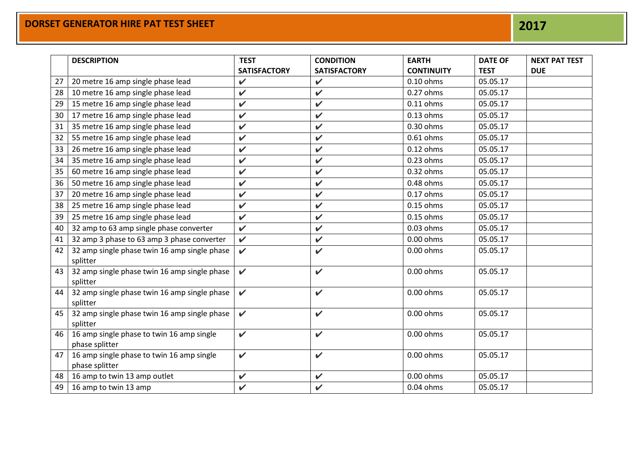|    | <b>DESCRIPTION</b>                                          | <b>TEST</b>         | <b>CONDITION</b>    | <b>EARTH</b>      | <b>DATE OF</b> | <b>NEXT PAT TEST</b> |
|----|-------------------------------------------------------------|---------------------|---------------------|-------------------|----------------|----------------------|
|    |                                                             | <b>SATISFACTORY</b> | <b>SATISFACTORY</b> | <b>CONTINUITY</b> | <b>TEST</b>    | <b>DUE</b>           |
| 27 | 20 metre 16 amp single phase lead                           | $\checkmark$        | $\checkmark$        | $0.10$ ohms       | 05.05.17       |                      |
| 28 | 10 metre 16 amp single phase lead                           | $\checkmark$        | $\checkmark$        | 0.27 ohms         | 05.05.17       |                      |
| 29 | 15 metre 16 amp single phase lead                           | $\checkmark$        | $\checkmark$        | $0.11$ ohms       | 05.05.17       |                      |
| 30 | 17 metre 16 amp single phase lead                           | $\checkmark$        | $\checkmark$        | $0.13$ ohms       | 05.05.17       |                      |
| 31 | 35 metre 16 amp single phase lead                           | $\checkmark$        | $\checkmark$        | 0.30 ohms         | 05.05.17       |                      |
| 32 | 55 metre 16 amp single phase lead                           | $\checkmark$        | $\checkmark$        | $0.61$ ohms       | 05.05.17       |                      |
| 33 | 26 metre 16 amp single phase lead                           | $\checkmark$        | $\checkmark$        | $0.12$ ohms       | 05.05.17       |                      |
| 34 | 35 metre 16 amp single phase lead                           | $\checkmark$        | $\checkmark$        | $0.23$ ohms       | 05.05.17       |                      |
| 35 | 60 metre 16 amp single phase lead                           | $\checkmark$        | $\mathbf v$         | 0.32 ohms         | 05.05.17       |                      |
| 36 | 50 metre 16 amp single phase lead                           | $\checkmark$        | $\checkmark$        | 0.48 ohms         | 05.05.17       |                      |
| 37 | 20 metre 16 amp single phase lead                           | $\checkmark$        | $\checkmark$        | 0.17 ohms         | 05.05.17       |                      |
| 38 | 25 metre 16 amp single phase lead                           | $\checkmark$        | $\checkmark$        | 0.15 ohms         | 05.05.17       |                      |
| 39 | 25 metre 16 amp single phase lead                           | $\checkmark$        | $\checkmark$        | 0.15 ohms         | 05.05.17       |                      |
| 40 | 32 amp to 63 amp single phase converter                     | $\checkmark$        | $\checkmark$        | 0.03 ohms         | 05.05.17       |                      |
| 41 | 32 amp 3 phase to 63 amp 3 phase converter                  | $\checkmark$        | $\checkmark$        | 0.00 ohms         | 05.05.17       |                      |
| 42 | 32 amp single phase twin 16 amp single phase<br>splitter    | $\checkmark$        | $\checkmark$        | 0.00 ohms         | 05.05.17       |                      |
| 43 | 32 amp single phase twin 16 amp single phase<br>splitter    | $\checkmark$        | $\checkmark$        | 0.00 ohms         | 05.05.17       |                      |
| 44 | 32 amp single phase twin 16 amp single phase<br>splitter    | $\mathbf v$         | $\checkmark$        | 0.00 ohms         | 05.05.17       |                      |
| 45 | 32 amp single phase twin 16 amp single phase<br>splitter    | $\mathbf v$         | $\checkmark$        | 0.00 ohms         | 05.05.17       |                      |
| 46 | 16 amp single phase to twin 16 amp single<br>phase splitter | $\checkmark$        | $\checkmark$        | 0.00 ohms         | 05.05.17       |                      |
| 47 | 16 amp single phase to twin 16 amp single<br>phase splitter | $\checkmark$        | $\checkmark$        | 0.00 ohms         | 05.05.17       |                      |
| 48 | 16 amp to twin 13 amp outlet                                | $\checkmark$        | V                   | $0.00$ ohms       | 05.05.17       |                      |
| 49 | 16 amp to twin 13 amp                                       | $\checkmark$        | $\checkmark$        | 0.04 ohms         | 05.05.17       |                      |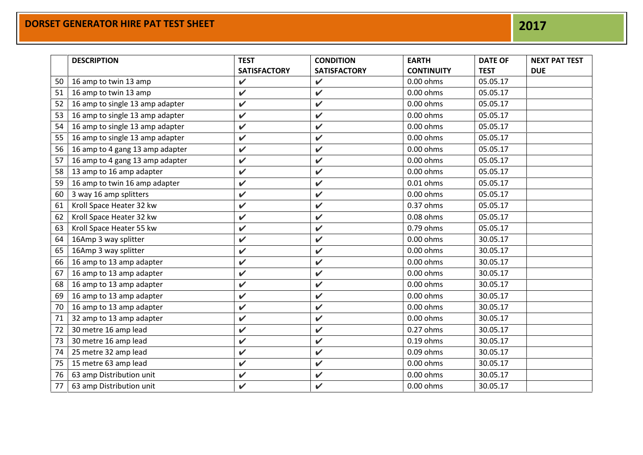|    |                                 |                     | <b>CONDITION</b>    | <b>EARTH</b>      | <b>DATE OF</b> | <b>NEXT PAT TEST</b> |
|----|---------------------------------|---------------------|---------------------|-------------------|----------------|----------------------|
|    |                                 | <b>SATISFACTORY</b> | <b>SATISFACTORY</b> | <b>CONTINUITY</b> | <b>TEST</b>    | <b>DUE</b>           |
| 50 | 16 amp to twin 13 amp           | $\checkmark$        | $\checkmark$        | 0.00 ohms         | 05.05.17       |                      |
| 51 | 16 amp to twin 13 amp           | V                   | V                   | $0.00$ ohms       | 05.05.17       |                      |
| 52 | 16 amp to single 13 amp adapter | $\checkmark$        | V                   | 0.00 ohms         | 05.05.17       |                      |
| 53 | 16 amp to single 13 amp adapter | V                   | V                   | 0.00 ohms         | 05.05.17       |                      |
| 54 | 16 amp to single 13 amp adapter | $\checkmark$        | V                   | $0.00$ ohms       | 05.05.17       |                      |
| 55 | 16 amp to single 13 amp adapter | $\checkmark$        | $\checkmark$        | $0.00$ ohms       | 05.05.17       |                      |
| 56 | 16 amp to 4 gang 13 amp adapter | $\checkmark$        | $\checkmark$        | $0.00$ ohms       | 05.05.17       |                      |
| 57 | 16 amp to 4 gang 13 amp adapter | V                   | $\checkmark$        | $0.00$ ohms       | 05.05.17       |                      |
| 58 | 13 amp to 16 amp adapter        | $\checkmark$        | $\checkmark$        | 0.00 ohms         | 05.05.17       |                      |
| 59 | 16 amp to twin 16 amp adapter   | $\checkmark$        | V                   | $0.01$ ohms       | 05.05.17       |                      |
| 60 | 3 way 16 amp splitters          | $\checkmark$        | $\mathbf v$         | $0.00$ ohms       | 05.05.17       |                      |
| 61 | Kroll Space Heater 32 kw        | V                   | $\checkmark$        | 0.37 ohms         | 05.05.17       |                      |
| 62 | Kroll Space Heater 32 kw        | $\checkmark$        | $\mathbf v$         | 0.08 ohms         | 05.05.17       |                      |
| 63 | Kroll Space Heater 55 kw        | $\checkmark$        | $\checkmark$        | 0.79 ohms         | 05.05.17       |                      |
| 64 | 16Amp 3 way splitter            | $\checkmark$        | $\mathbf v$         | $0.00$ ohms       | 30.05.17       |                      |
| 65 | 16Amp 3 way splitter            | V                   | V                   | $0.00$ ohms       | 30.05.17       |                      |
| 66 | 16 amp to 13 amp adapter        | $\checkmark$        | $\mathbf v$         | $0.00$ ohms       | 30.05.17       |                      |
| 67 | 16 amp to 13 amp adapter        | $\checkmark$        | V                   | $0.00$ ohms       | 30.05.17       |                      |
| 68 | 16 amp to 13 amp adapter        | $\checkmark$        | $\checkmark$        | $0.00$ ohms       | 30.05.17       |                      |
| 69 | 16 amp to 13 amp adapter        | $\checkmark$        | V                   | $0.00$ ohms       | 30.05.17       |                      |
| 70 | 16 amp to 13 amp adapter        | $\checkmark$        | $\mathbf v$         | $0.00$ ohms       | 30.05.17       |                      |
| 71 | 32 amp to 13 amp adapter        | $\checkmark$        | V                   | 0.00 ohms         | 30.05.17       |                      |
| 72 | 30 metre 16 amp lead            | $\checkmark$        | $\mathbf v$         | $0.27$ ohms       | 30.05.17       |                      |
| 73 | 30 metre 16 amp lead            | $\checkmark$        | V                   | $0.19$ ohms       | 30.05.17       |                      |
| 74 | 25 metre 32 amp lead            | V                   | V                   | 0.09 ohms         | 30.05.17       |                      |
| 75 | 15 metre 63 amp lead            | $\checkmark$        | V                   | $0.00$ ohms       | 30.05.17       |                      |
| 76 | 63 amp Distribution unit        | V                   | V                   | $0.00$ ohms       | 30.05.17       |                      |
| 77 | 63 amp Distribution unit        | $\checkmark$        | V                   | 0.00 ohms         | 30.05.17       |                      |